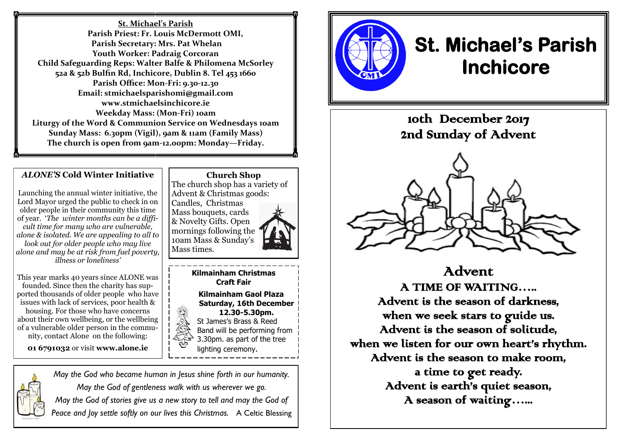**St. Michael's Parish Parish Priest: Fr. Louis McDermott OMI, Parish Secretary: Mrs. Pat Whelan Youth Worker: Padraig Corcoran Child Safeguarding Reps: Walter Balfe & Philomena McSorley 52a & 52b Bulfin Rd, Inchicore, Dublin 8. Tel 453 1660 Parish Office: Mon-Fri: 9.30-12.30 Email: stmichaelsparishomi@gmail.com www.stmichaelsinchicore.ie Weekday Mass: (Mon-Fri) 10am Liturgy of the Word & Communion Service on Wednesdays 10am Sunday Mass: 6.30pm (Vigil), 9am & 11am (Family Mass) The church is open from 9am-12.00pm: Monday—Friday.**

#### *ALONE'S* **Cold Winter Initiative**

Launching the annual winter initiative, the Lord Mayor urged the public to check in on older people in their community this time of year. '*The winter months can be a difficult time for many who are vulnerable, alone & isolated. We are appealing to all to look out for older people who may live alone and may be at risk from fuel poverty, illness or loneliness'*

This year marks 40 years since ALONE was founded. Since then the charity has supported thousands of older people who have issues with lack of services, poor health & housing. For those who have concerns about their own wellbeing, or the wellbeing of a vulnerable older person in the community, contact Alone on the following:

**01 6791032** or visit **www.alone.ie** 

*May the God who became human in Jesus shine forth in our humanity. May the God of gentleness walk with us wherever we go. May the God of stories give us a new story to tell and may the God of Peace and Joy settle softly on our lives this Christmas.* A Celtic Blessing

**Church Shop** The church shop has a variety of Advent & Christmas goods: Candles, Christmas Mass bouquets, cards & Novelty Gifts. Open mornings following the 10am Mass & Sunday's Mass times.

> **Kilmainham Christmas Craft Fair**

 **Kilmainham Gaol Plaza Saturday, 16th December 12.30-5.30pm.** St James's Brass & Reed Band will be performing from 3.30pm. as part of the tree lighting ceremony.



# **St. Michael's Parish Inchicore**

10th December 2017 2nd Sunday of Advent



Advent A TIME OF WAITING….. Advent is the season of darkness, when we seek stars to guide us. Advent is the season of solitude, when we listen for our own heart's rhythm. Advent is the season to make room, a time to get ready. Advent is earth's quiet season, A season of waiting…...